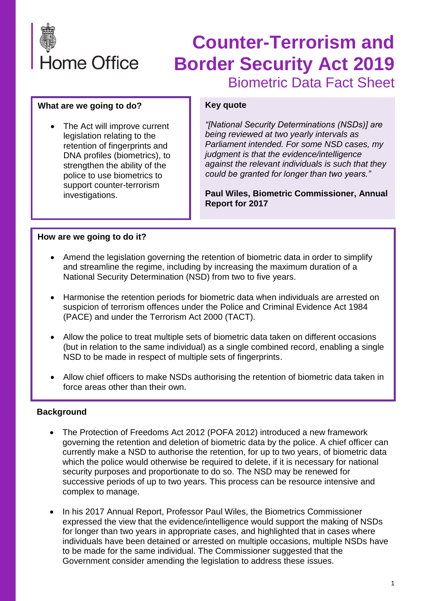

# **Counter-Terrorism and Border Security Act 2019** Biometric Data Fact Sheet

#### **What are we going to do?**

The Act will improve current legislation relating to the retention of fingerprints and DNA profiles (biometrics), to strengthen the ability of the police to use biometrics to support counter-terrorism investigations.

#### **Key quote**

*"[National Security Determinations (NSDs)] are being reviewed at two yearly intervals as Parliament intended. For some NSD cases, my judgment is that the evidence/intelligence against the relevant individuals is such that they could be granted for longer than two years."*

**Paul Wiles, Biometric Commissioner, Annual Report for 2017**

### **How are we going to do it?**

- Amend the legislation governing the retention of biometric data in order to simplify and streamline the regime, including by increasing the maximum duration of a National Security Determination (NSD) from two to five years.
- Harmonise the retention periods for biometric data when individuals are arrested on suspicion of terrorism offences under the Police and Criminal Evidence Act 1984 (PACE) and under the Terrorism Act 2000 (TACT).
- Allow the police to treat multiple sets of biometric data taken on different occasions (but in relation to the same individual) as a single combined record, enabling a single NSD to be made in respect of multiple sets of fingerprints.
- Allow chief officers to make NSDs authorising the retention of biometric data taken in force areas other than their own.

### **Background**

- The Protection of Freedoms Act 2012 (POFA 2012) introduced a new framework governing the retention and deletion of biometric data by the police. A chief officer can currently make a NSD to authorise the retention, for up to two years, of biometric data which the police would otherwise be required to delete, if it is necessary for national security purposes and proportionate to do so. The NSD may be renewed for successive periods of up to two years. This process can be resource intensive and complex to manage.
- In his 2017 Annual Report, Professor Paul Wiles, the Biometrics Commissioner expressed the view that the evidence/intelligence would support the making of NSDs for longer than two years in appropriate cases, and highlighted that in cases where individuals have been detained or arrested on multiple occasions, multiple NSDs have to be made for the same individual. The Commissioner suggested that the Government consider amending the legislation to address these issues.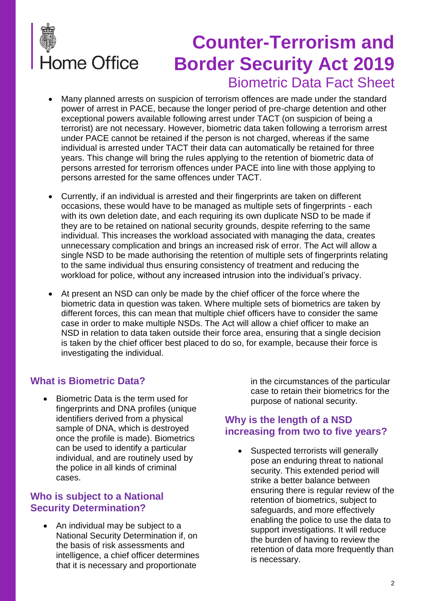

# **Counter-Terrorism and Border Security Act 2019** Biometric Data Fact Sheet

- Many planned arrests on suspicion of terrorism offences are made under the standard power of arrest in PACE, because the longer period of pre-charge detention and other exceptional powers available following arrest under TACT (on suspicion of being a terrorist) are not necessary. However, biometric data taken following a terrorism arrest under PACE cannot be retained if the person is not charged, whereas if the same individual is arrested under TACT their data can automatically be retained for three years. This change will bring the rules applying to the retention of biometric data of persons arrested for terrorism offences under PACE into line with those applying to persons arrested for the same offences under TACT.
- Currently, if an individual is arrested and their fingerprints are taken on different occasions, these would have to be managed as multiple sets of fingerprints - each with its own deletion date, and each requiring its own duplicate NSD to be made if they are to be retained on national security grounds, despite referring to the same individual. This increases the workload associated with managing the data, creates unnecessary complication and brings an increased risk of error. The Act will allow a single NSD to be made authorising the retention of multiple sets of fingerprints relating to the same individual thus ensuring consistency of treatment and reducing the workload for police, without any increased intrusion into the individual's privacy.
- At present an NSD can only be made by the chief officer of the force where the biometric data in question was taken. Where multiple sets of biometrics are taken by different forces, this can mean that multiple chief officers have to consider the same case in order to make multiple NSDs. The Act will allow a chief officer to make an NSD in relation to data taken outside their force area, ensuring that a single decision is taken by the chief officer best placed to do so, for example, because their force is investigating the individual.

## **What is Biometric Data?**

• Biometric Data is the term used for fingerprints and DNA profiles (unique identifiers derived from a physical sample of DNA, which is destroyed once the profile is made). Biometrics can be used to identify a particular individual, and are routinely used by the police in all kinds of criminal cases.

## **Who is subject to a National Security Determination?**

• An individual may be subject to a National Security Determination if, on the basis of risk assessments and intelligence, a chief officer determines that it is necessary and proportionate

in the circumstances of the particular case to retain their biometrics for the purpose of national security.

## **Why is the length of a NSD increasing from two to five years?**

• Suspected terrorists will generally pose an enduring threat to national security. This extended period will strike a better balance between ensuring there is regular review of the retention of biometrics, subject to safeguards, and more effectively enabling the police to use the data to support investigations. It will reduce the burden of having to review the retention of data more frequently than is necessary.